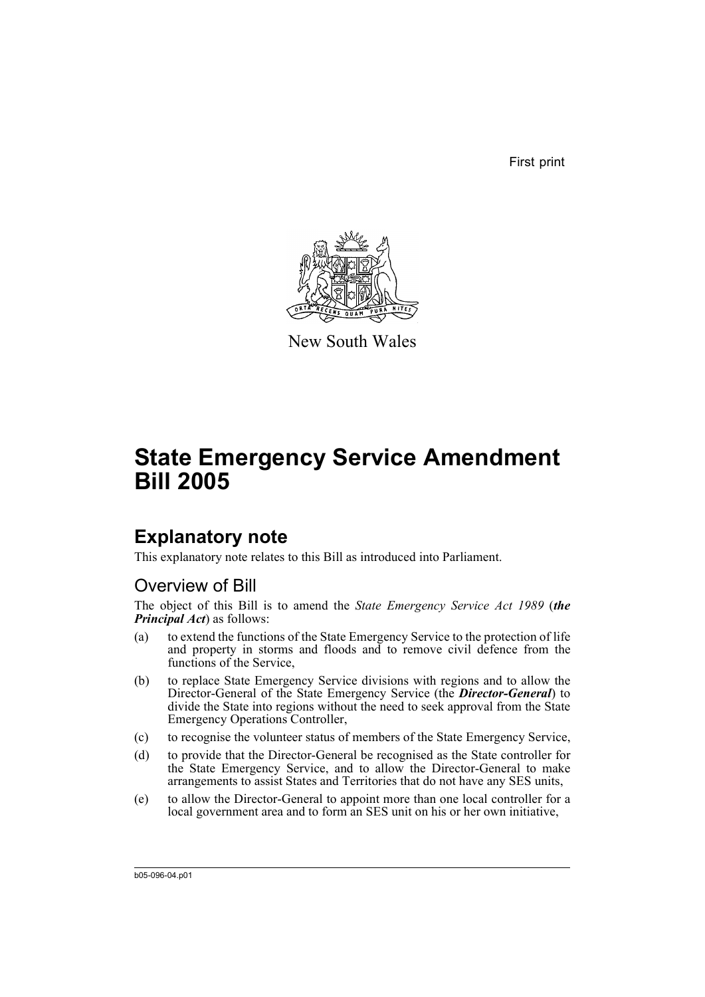First print



New South Wales

# **State Emergency Service Amendment Bill 2005**

# **Explanatory note**

This explanatory note relates to this Bill as introduced into Parliament.

## Overview of Bill

The object of this Bill is to amend the *State Emergency Service Act 1989* (*the Principal Act*) as follows:

- (a) to extend the functions of the State Emergency Service to the protection of life and property in storms and floods and to remove civil defence from the functions of the Service,
- (b) to replace State Emergency Service divisions with regions and to allow the Director-General of the State Emergency Service (the *Director-General*) to divide the State into regions without the need to seek approval from the State Emergency Operations Controller,
- (c) to recognise the volunteer status of members of the State Emergency Service,
- (d) to provide that the Director-General be recognised as the State controller for the State Emergency Service, and to allow the Director-General to make arrangements to assist States and Territories that do not have any SES units,
- (e) to allow the Director-General to appoint more than one local controller for a local government area and to form an SES unit on his or her own initiative,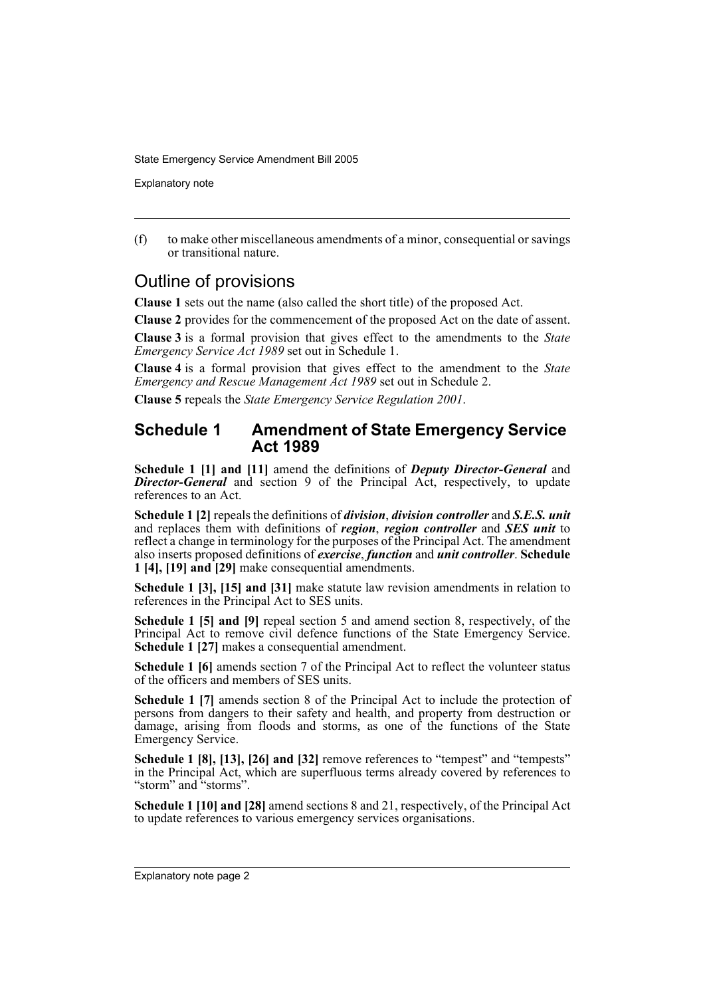Explanatory note

(f) to make other miscellaneous amendments of a minor, consequential or savings or transitional nature.

## Outline of provisions

**Clause 1** sets out the name (also called the short title) of the proposed Act.

**Clause 2** provides for the commencement of the proposed Act on the date of assent.

**Clause 3** is a formal provision that gives effect to the amendments to the *State Emergency Service Act 1989* set out in Schedule 1.

**Clause 4** is a formal provision that gives effect to the amendment to the *State Emergency and Rescue Management Act 1989* set out in Schedule 2.

**Clause 5** repeals the *State Emergency Service Regulation 2001*.

### **Schedule 1 Amendment of State Emergency Service Act 1989**

**Schedule 1 [1] and [11]** amend the definitions of *Deputy Director-General* and **Director-General** and section 9 of the Principal Act, respectively, to update references to an Act.

**Schedule 1 [2]** repeals the definitions of *division*, *division controller* and *S.E.S. unit* and replaces them with definitions of *region*, *region controller* and *SES unit* to reflect a change in terminology for the purposes of the Principal Act. The amendment also inserts proposed definitions of *exercise*, *function* and *unit controller*. **Schedule 1 [4], [19] and [29]** make consequential amendments.

**Schedule 1 [3], [15] and [31]** make statute law revision amendments in relation to references in the Principal Act to SES units.

**Schedule 1 [5] and [9]** repeal section 5 and amend section 8, respectively, of the Principal Act to remove civil defence functions of the State Emergency Service. **Schedule 1 [27]** makes a consequential amendment.

**Schedule 1 [6]** amends section 7 of the Principal Act to reflect the volunteer status of the officers and members of SES units.

**Schedule 1 [7]** amends section 8 of the Principal Act to include the protection of persons from dangers to their safety and health, and property from destruction or damage, arising from floods and storms, as one of the functions of the State Emergency Service.

**Schedule 1 [8], [13], [26] and [32] remove references to "tempest" and "tempests"** in the Principal Act, which are superfluous terms already covered by references to "storm" and "storms".

**Schedule 1 [10] and [28]** amend sections 8 and 21, respectively, of the Principal Act to update references to various emergency services organisations.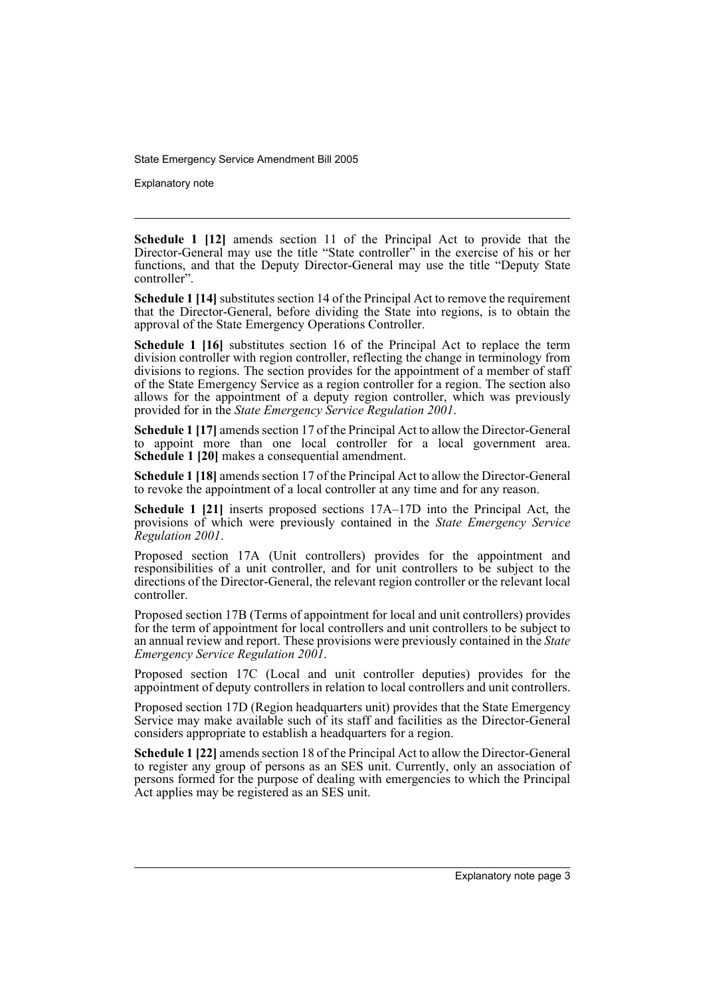Explanatory note

**Schedule 1 [12]** amends section 11 of the Principal Act to provide that the Director-General may use the title "State controller" in the exercise of his or her functions, and that the Deputy Director-General may use the title "Deputy State controller".

**Schedule 1 [14]** substitutes section 14 of the Principal Act to remove the requirement that the Director-General, before dividing the State into regions, is to obtain the approval of the State Emergency Operations Controller.

**Schedule 1 [16]** substitutes section 16 of the Principal Act to replace the term division controller with region controller, reflecting the change in terminology from divisions to regions. The section provides for the appointment of a member of staff of the State Emergency Service as a region controller for a region. The section also allows for the appointment of a deputy region controller, which was previously provided for in the *State Emergency Service Regulation 2001*.

**Schedule 1 [17]** amends section 17 of the Principal Act to allow the Director-General to appoint more than one local controller for a local government area. **Schedule 1 [20]** makes a consequential amendment.

**Schedule 1 [18]** amends section 17 of the Principal Act to allow the Director-General to revoke the appointment of a local controller at any time and for any reason.

**Schedule 1 [21]** inserts proposed sections 17A–17D into the Principal Act, the provisions of which were previously contained in the *State Emergency Service Regulation 2001*.

Proposed section 17A (Unit controllers) provides for the appointment and responsibilities of a unit controller, and for unit controllers to be subject to the directions of the Director-General, the relevant region controller or the relevant local controller.

Proposed section 17B (Terms of appointment for local and unit controllers) provides for the term of appointment for local controllers and unit controllers to be subject to an annual review and report. These provisions were previously contained in the *State Emergency Service Regulation 2001*.

Proposed section 17C (Local and unit controller deputies) provides for the appointment of deputy controllers in relation to local controllers and unit controllers.

Proposed section 17D (Region headquarters unit) provides that the State Emergency Service may make available such of its staff and facilities as the Director-General considers appropriate to establish a headquarters for a region.

**Schedule 1 [22]** amends section 18 of the Principal Act to allow the Director-General to register any group of persons as an SES unit. Currently, only an association of persons formed for the purpose of dealing with emergencies to which the Principal Act applies may be registered as an SES unit.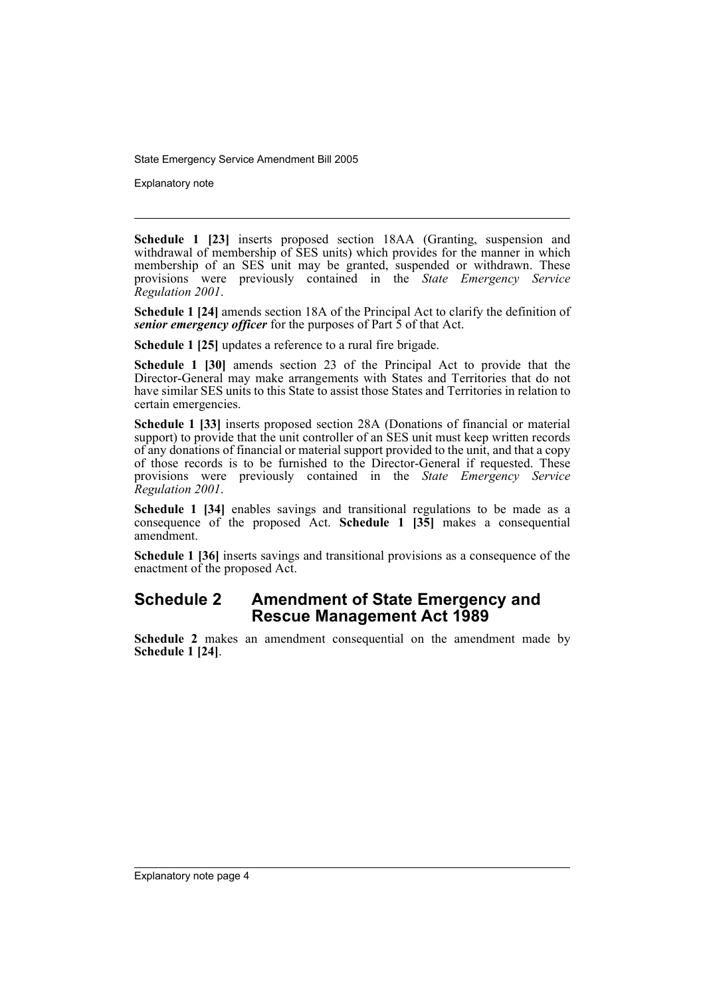Explanatory note

**Schedule 1 [23]** inserts proposed section 18AA (Granting, suspension and withdrawal of membership of  $\hat{S}ES$  units) which provides for the manner in which membership of an SES unit may be granted, suspended or withdrawn. These provisions were previously contained in the *State Emergency Service Regulation 2001*.

**Schedule 1 [24]** amends section 18A of the Principal Act to clarify the definition of *senior emergency officer* for the purposes of Part 5 of that Act.

**Schedule 1 [25]** updates a reference to a rural fire brigade.

**Schedule 1 [30]** amends section 23 of the Principal Act to provide that the Director-General may make arrangements with States and Territories that do not have similar SES units to this State to assist those States and Territories in relation to certain emergencies.

**Schedule 1 [33]** inserts proposed section 28A (Donations of financial or material support) to provide that the unit controller of an SES unit must keep written records of any donations of financial or material support provided to the unit, and that a copy of those records is to be furnished to the Director-General if requested. These provisions were previously contained in the *State Emergency Service Regulation 2001*.

**Schedule 1 [34]** enables savings and transitional regulations to be made as a consequence of the proposed Act. **Schedule 1 [35]** makes a consequential amendment.

**Schedule 1 [36]** inserts savings and transitional provisions as a consequence of the enactment of the proposed Act.

## **Schedule 2 Amendment of State Emergency and Rescue Management Act 1989**

**Schedule 2** makes an amendment consequential on the amendment made by **Schedule 1 [24]**.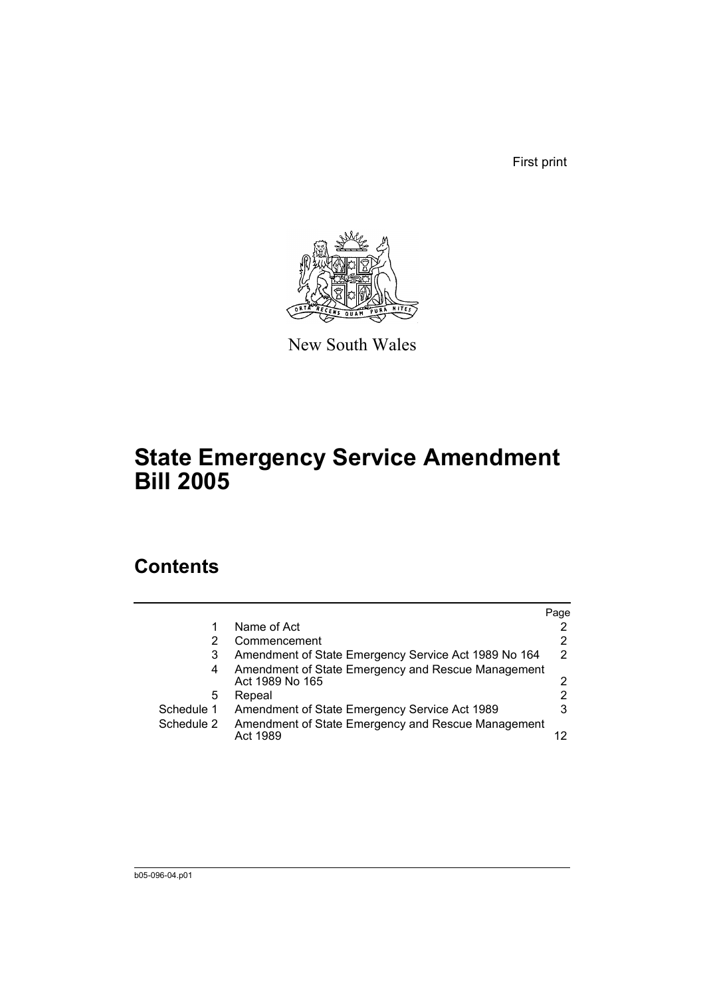First print



New South Wales

# **State Emergency Service Amendment Bill 2005**

# **Contents**

|            |                                                                       | Page          |
|------------|-----------------------------------------------------------------------|---------------|
|            | Name of Act                                                           |               |
|            | Commencement                                                          | 2             |
| 3          | Amendment of State Emergency Service Act 1989 No 164                  | $\mathcal{P}$ |
| 4          | Amendment of State Emergency and Rescue Management<br>Act 1989 No 165 | 2             |
| 5          | Repeal                                                                |               |
| Schedule 1 | Amendment of State Emergency Service Act 1989                         | 3             |
| Schedule 2 | Amendment of State Emergency and Rescue Management<br>Act 1989        |               |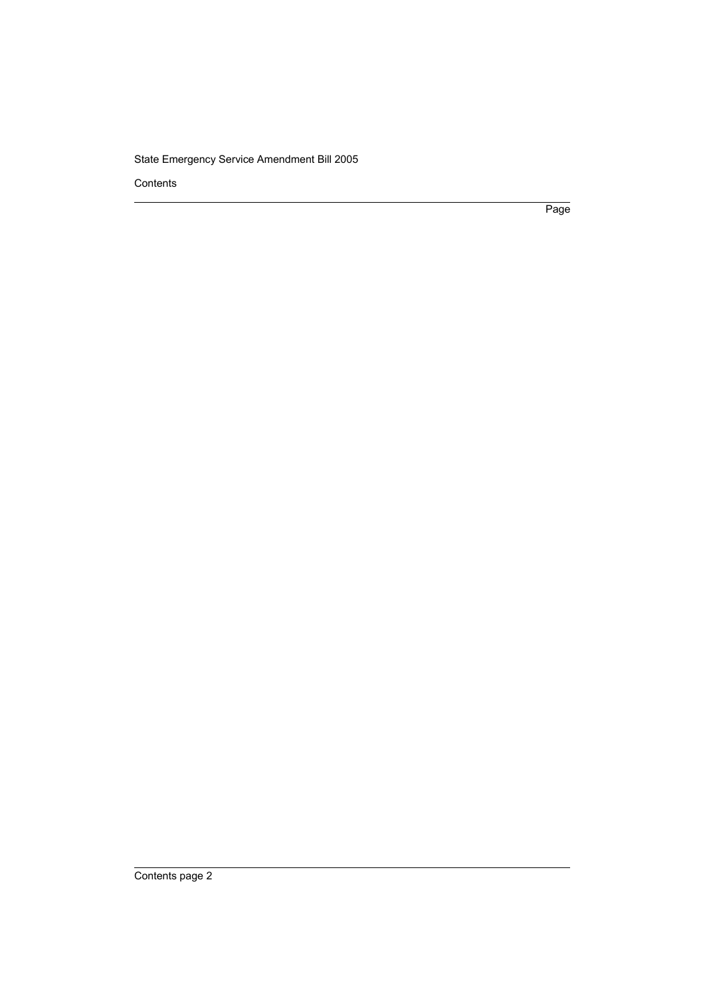Contents

Page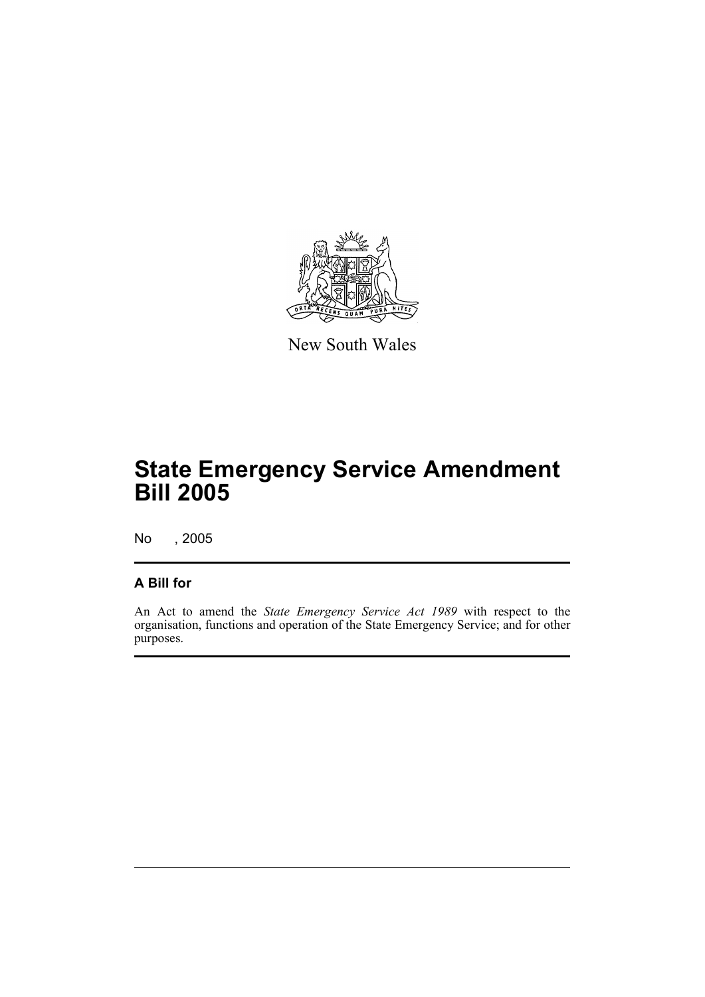

New South Wales

# **State Emergency Service Amendment Bill 2005**

No , 2005

### **A Bill for**

An Act to amend the *State Emergency Service Act 1989* with respect to the organisation, functions and operation of the State Emergency Service; and for other purposes.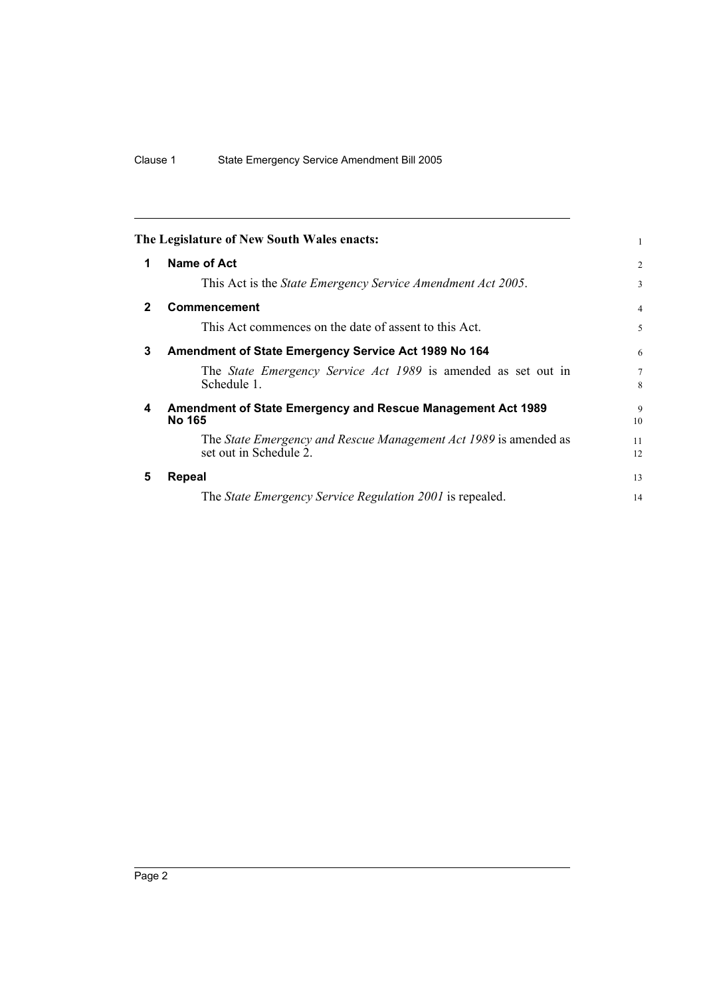<span id="page-7-4"></span><span id="page-7-3"></span><span id="page-7-2"></span><span id="page-7-1"></span><span id="page-7-0"></span>

|              | The Legislature of New South Wales enacts:                                                 | 1              |
|--------------|--------------------------------------------------------------------------------------------|----------------|
| 1            | Name of Act                                                                                | 2              |
|              | This Act is the <i>State Emergency Service Amendment Act 2005</i> .                        | 3              |
| $\mathbf{2}$ | Commencement                                                                               | $\overline{4}$ |
|              | This Act commences on the date of assent to this Act.                                      | 5              |
| 3            | Amendment of State Emergency Service Act 1989 No 164                                       | 6              |
|              | The <i>State Emergency Service Act 1989</i> is amended as set out in<br>Schedule 1.        | $\tau$<br>8    |
| 4            | <b>Amendment of State Emergency and Rescue Management Act 1989</b><br><b>No 165</b>        | 9<br>10        |
|              | The State Emergency and Rescue Management Act 1989 is amended as<br>set out in Schedule 2. | 11<br>12       |
| 5            | Repeal                                                                                     | 13             |
|              | The State Emergency Service Regulation 2001 is repealed.                                   | 14             |
|              |                                                                                            |                |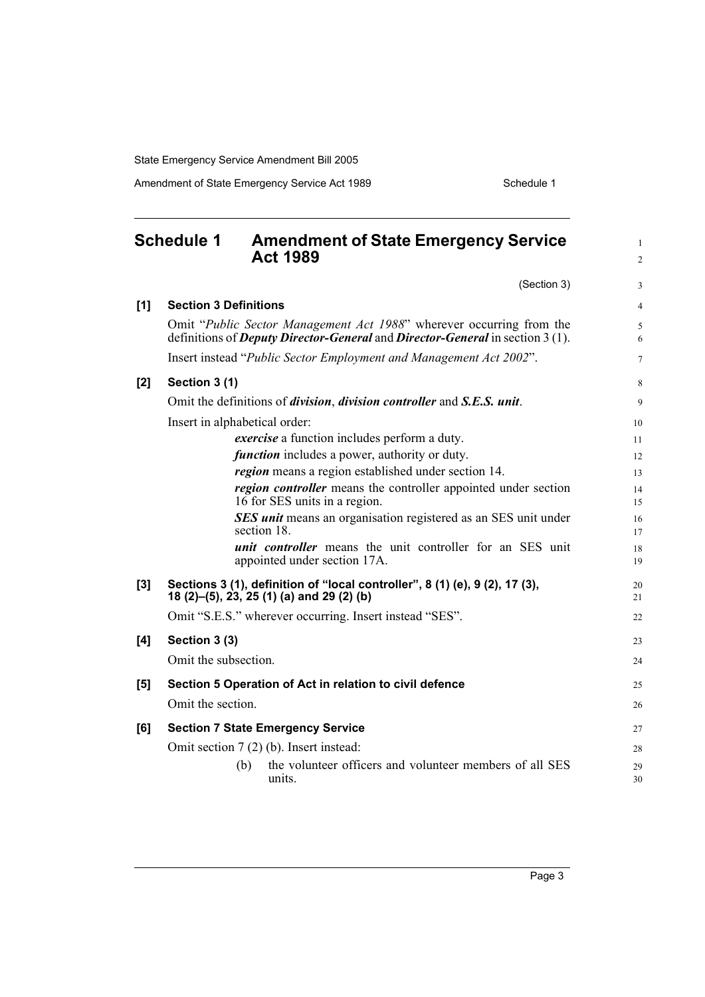Amendment of State Emergency Service Act 1989 Schedule 1

<span id="page-8-0"></span>

|     | <b>Schedule 1</b><br><b>Amendment of State Emergency Service</b><br><b>Act 1989</b>                                                                                 | $\mathbf{1}$<br>$\overline{c}$ |
|-----|---------------------------------------------------------------------------------------------------------------------------------------------------------------------|--------------------------------|
|     | (Section 3)                                                                                                                                                         | 3                              |
| [1] | <b>Section 3 Definitions</b>                                                                                                                                        | $\overline{4}$                 |
|     | Omit "Public Sector Management Act 1988" wherever occurring from the<br>definitions of <i>Deputy Director-General</i> and <i>Director-General</i> in section 3 (1). | 5<br>6                         |
|     | Insert instead "Public Sector Employment and Management Act 2002".                                                                                                  | $\overline{7}$                 |
| [2] | Section 3 (1)                                                                                                                                                       | 8                              |
|     | Omit the definitions of <i>division</i> , <i>division controller</i> and <i>S.E.S. unit.</i>                                                                        | 9                              |
|     | Insert in alphabetical order:                                                                                                                                       | 10                             |
|     | <i>exercise</i> a function includes perform a duty.                                                                                                                 | 11                             |
|     | <i>function</i> includes a power, authority or duty.                                                                                                                | 12                             |
|     | region means a region established under section 14.                                                                                                                 | 13                             |
|     | region controller means the controller appointed under section<br>16 for SES units in a region.                                                                     | 14<br>15                       |
|     | SES unit means an organisation registered as an SES unit under<br>section 18.                                                                                       | 16<br>17                       |
|     | <i>unit controller</i> means the unit controller for an SES unit<br>appointed under section 17A.                                                                    | 18<br>19                       |
| [3] | Sections 3 (1), definition of "local controller", 8 (1) (e), 9 (2), 17 (3),<br>18 (2)–(5), 23, 25 (1) (a) and 29 (2) (b)                                            | 20<br>21                       |
|     | Omit "S.E.S." wherever occurring. Insert instead "SES".                                                                                                             | 22                             |
| [4] | Section 3 (3)                                                                                                                                                       | 23                             |
|     | Omit the subsection.                                                                                                                                                | 24                             |
| [5] | Section 5 Operation of Act in relation to civil defence                                                                                                             | 25                             |
|     | Omit the section.                                                                                                                                                   | 26                             |
| [6] | <b>Section 7 State Emergency Service</b>                                                                                                                            | 27                             |
|     | Omit section $7(2)$ (b). Insert instead:                                                                                                                            | 28                             |
|     | the volunteer officers and volunteer members of all SES<br>(b)<br>units.                                                                                            | 29<br>30                       |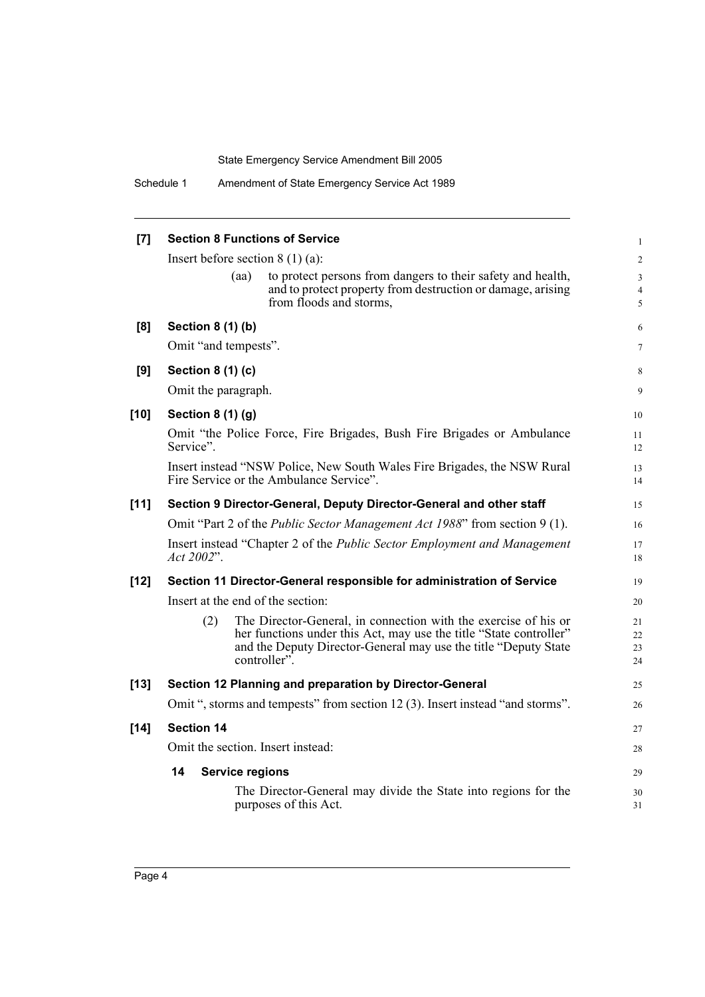Schedule 1 Amendment of State Emergency Service Act 1989

| [7]    | <b>Section 8 Functions of Service</b>                                                                                                  | 1                       |
|--------|----------------------------------------------------------------------------------------------------------------------------------------|-------------------------|
|        | Insert before section $8(1)(a)$ :                                                                                                      | $\overline{\mathbf{c}}$ |
|        | to protect persons from dangers to their safety and health,<br>(aa)                                                                    | 3                       |
|        | and to protect property from destruction or damage, arising<br>from floods and storms,                                                 | 4<br>5                  |
| [8]    | Section 8 (1) (b)                                                                                                                      | 6                       |
|        | Omit "and tempests".                                                                                                                   | 7                       |
| [9]    | Section 8 (1) (c)                                                                                                                      | 8                       |
|        | Omit the paragraph.                                                                                                                    | 9                       |
| $[10]$ | <b>Section 8 (1) (g)</b>                                                                                                               | 10                      |
|        | Omit "the Police Force, Fire Brigades, Bush Fire Brigades or Ambulance<br>Service".                                                    | 11<br>12                |
|        | Insert instead "NSW Police, New South Wales Fire Brigades, the NSW Rural<br>Fire Service or the Ambulance Service".                    | 13<br>14                |
| $[11]$ | Section 9 Director-General, Deputy Director-General and other staff                                                                    | 15                      |
|        | Omit "Part 2 of the <i>Public Sector Management Act 1988</i> " from section 9 (1).                                                     | 16                      |
|        | Insert instead "Chapter 2 of the <i>Public Sector Employment and Management</i><br>Act 2002".                                          | 17<br>18                |
| $[12]$ | Section 11 Director-General responsible for administration of Service                                                                  | 19                      |
|        | Insert at the end of the section:                                                                                                      | 20                      |
|        | The Director-General, in connection with the exercise of his or<br>(2)                                                                 | 21                      |
|        | her functions under this Act, may use the title "State controller"<br>and the Deputy Director-General may use the title "Deputy State" | 22<br>23                |
|        | controller".                                                                                                                           | 24                      |
| $[13]$ | Section 12 Planning and preparation by Director-General                                                                                | 25                      |
|        | Omit ", storms and tempests" from section 12(3). Insert instead "and storms".                                                          | 26                      |
| $[14]$ | <b>Section 14</b>                                                                                                                      | 27                      |
|        | Omit the section. Insert instead:                                                                                                      | 28                      |
|        | 14<br><b>Service regions</b>                                                                                                           | 29                      |
|        | The Director-General may divide the State into regions for the<br>purposes of this Act.                                                | 30<br>31                |
|        |                                                                                                                                        |                         |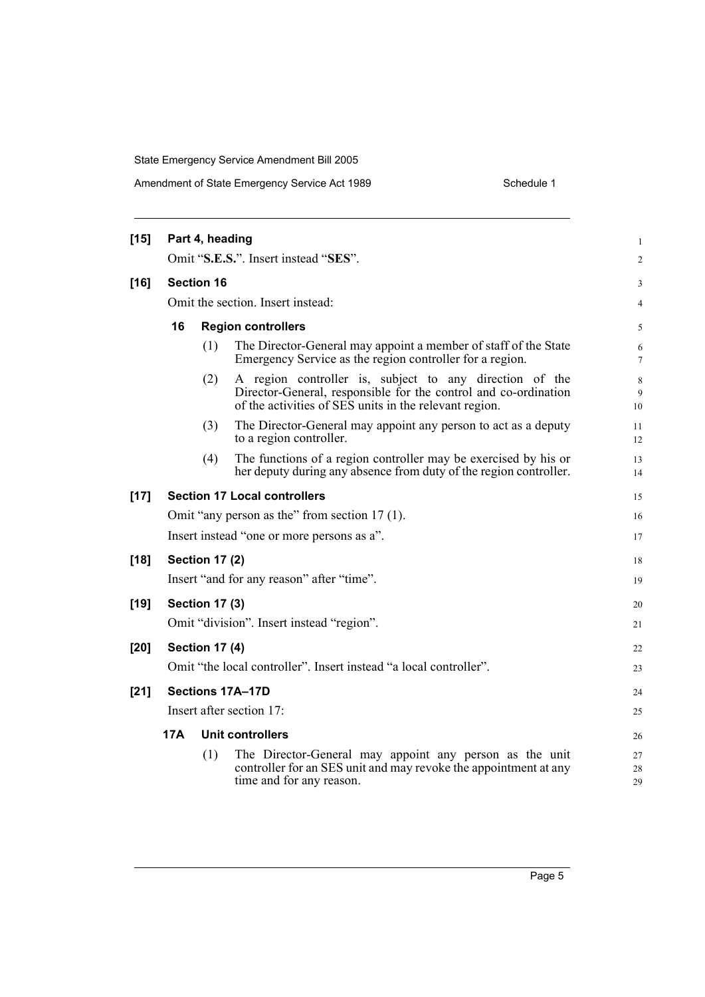| $[15]$ |                                   | Part 4, heading       |                                                                                                                                                                                      | $\mathbf{1}$   |
|--------|-----------------------------------|-----------------------|--------------------------------------------------------------------------------------------------------------------------------------------------------------------------------------|----------------|
|        |                                   |                       | Omit "S.E.S.". Insert instead "SES".                                                                                                                                                 | 2              |
| $[16]$ |                                   | <b>Section 16</b>     |                                                                                                                                                                                      | 3              |
|        | Omit the section. Insert instead: |                       |                                                                                                                                                                                      | $\overline{4}$ |
|        | 16                                |                       | <b>Region controllers</b>                                                                                                                                                            | 5              |
|        |                                   | (1)                   | The Director-General may appoint a member of staff of the State<br>Emergency Service as the region controller for a region.                                                          | 6<br>7         |
|        |                                   | (2)                   | A region controller is, subject to any direction of the<br>Director-General, responsible for the control and co-ordination<br>of the activities of SES units in the relevant region. | 8<br>9<br>10   |
|        |                                   | (3)                   | The Director-General may appoint any person to act as a deputy<br>to a region controller.                                                                                            | 11<br>12       |
|        |                                   | (4)                   | The functions of a region controller may be exercised by his or<br>her deputy during any absence from duty of the region controller.                                                 | 13<br>14       |
| $[17]$ |                                   |                       | <b>Section 17 Local controllers</b>                                                                                                                                                  | 15             |
|        |                                   |                       | Omit "any person as the" from section 17 (1).                                                                                                                                        | 16             |
|        |                                   |                       | Insert instead "one or more persons as a".                                                                                                                                           | 17             |
| $[18]$ |                                   | <b>Section 17 (2)</b> |                                                                                                                                                                                      | 18             |
|        |                                   |                       | Insert "and for any reason" after "time".                                                                                                                                            | 19             |
| $[19]$ | <b>Section 17 (3)</b>             |                       | 20                                                                                                                                                                                   |                |
|        |                                   |                       | Omit "division". Insert instead "region".                                                                                                                                            | 21             |
| $[20]$ |                                   | <b>Section 17 (4)</b> |                                                                                                                                                                                      | 22             |
|        |                                   |                       | Omit "the local controller". Insert instead "a local controller".                                                                                                                    | 23             |
| $[21]$ | Sections 17A-17D                  |                       |                                                                                                                                                                                      | 24             |
|        |                                   |                       | Insert after section 17:                                                                                                                                                             | 25             |
|        | 17A                               |                       | <b>Unit controllers</b>                                                                                                                                                              | 26             |
|        |                                   | (1)                   | The Director-General may appoint any person as the unit                                                                                                                              |                |
|        |                                   |                       | controller for an SES unit and may revoke the appointment at any<br>time and for any reason.                                                                                         | 27<br>28<br>29 |
|        |                                   |                       |                                                                                                                                                                                      |                |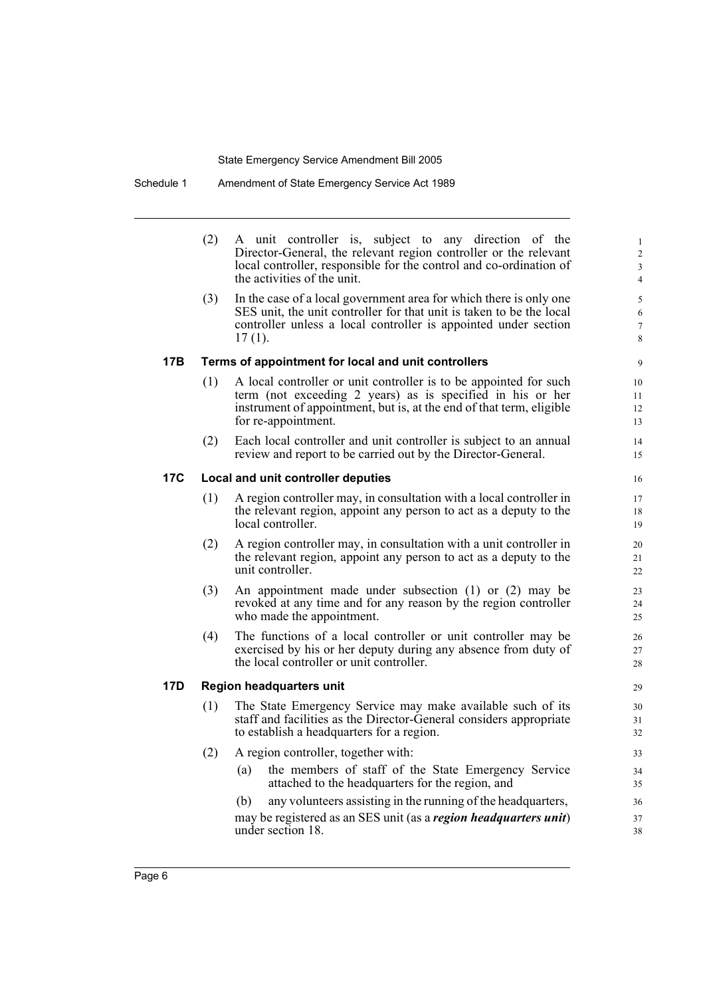Schedule 1 Amendment of State Emergency Service Act 1989

(2) A unit controller is, subject to any direction of the Director-General, the relevant region controller or the relevant local controller, responsible for the control and co-ordination of the activities of the unit.

(3) In the case of a local government area for which there is only one SES unit, the unit controller for that unit is taken to be the local controller unless a local controller is appointed under section 17 (1).

#### **17B Terms of appointment for local and unit controllers**

- (1) A local controller or unit controller is to be appointed for such term (not exceeding 2 years) as is specified in his or her instrument of appointment, but is, at the end of that term, eligible for re-appointment.
- (2) Each local controller and unit controller is subject to an annual review and report to be carried out by the Director-General.

### **17C Local and unit controller deputies**

- (1) A region controller may, in consultation with a local controller in the relevant region, appoint any person to act as a deputy to the local controller.
- (2) A region controller may, in consultation with a unit controller in the relevant region, appoint any person to act as a deputy to the unit controller.
- (3) An appointment made under subsection (1) or (2) may be revoked at any time and for any reason by the region controller who made the appointment.
- (4) The functions of a local controller or unit controller may be exercised by his or her deputy during any absence from duty of the local controller or unit controller.

#### **17D Region headquarters unit**

- (1) The State Emergency Service may make available such of its staff and facilities as the Director-General considers appropriate to establish a headquarters for a region.
- (2) A region controller, together with:
	- (a) the members of staff of the State Emergency Service attached to the headquarters for the region, and

(b) any volunteers assisting in the running of the headquarters, may be registered as an SES unit (as a *region headquarters unit*) under section 18.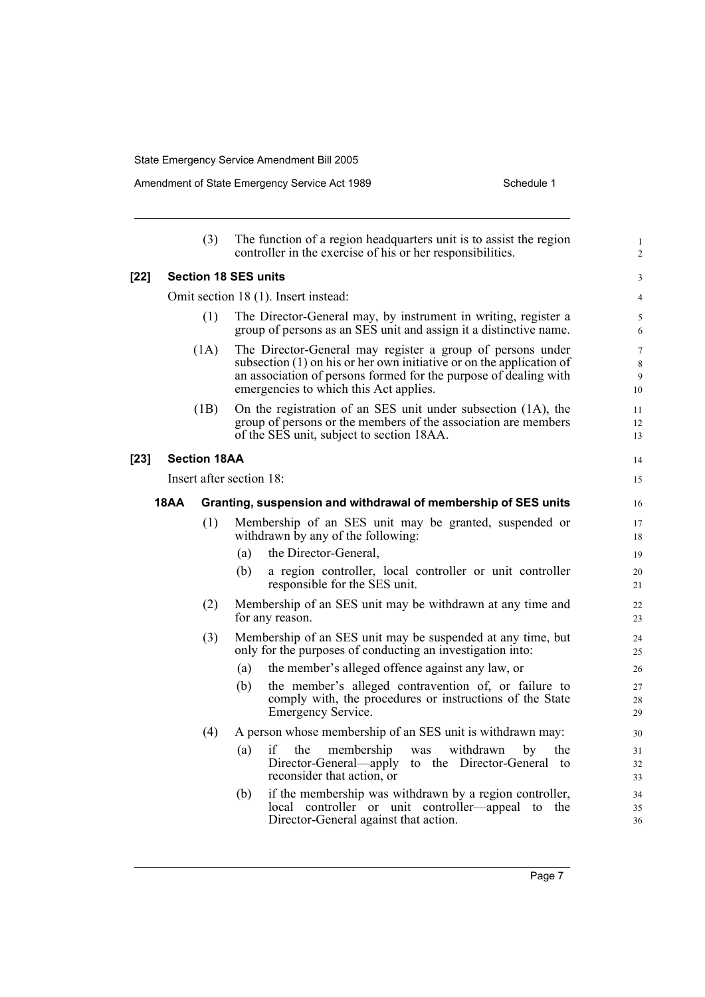Amendment of State Emergency Service Act 1989 Schedule 1

|        |                                                                                                                                                                                                                  | (3)                                  | The function of a region headquarters unit is to assist the region<br>controller in the exercise of his or her responsibilities.                                             | $\mathbf{1}$<br>$\overline{c}$             |  |
|--------|------------------------------------------------------------------------------------------------------------------------------------------------------------------------------------------------------------------|--------------------------------------|------------------------------------------------------------------------------------------------------------------------------------------------------------------------------|--------------------------------------------|--|
| $[22]$ |                                                                                                                                                                                                                  |                                      | <b>Section 18 SES units</b>                                                                                                                                                  | 3                                          |  |
|        |                                                                                                                                                                                                                  | Omit section 18 (1). Insert instead: |                                                                                                                                                                              |                                            |  |
|        |                                                                                                                                                                                                                  | (1)                                  | The Director-General may, by instrument in writing, register a<br>group of persons as an SES unit and assign it a distinctive name.                                          | 5<br>6                                     |  |
|        | (1A)<br>The Director-General may register a group of persons under<br>subsection $(1)$ on his or her own initiative or on the application of<br>an association of persons formed for the purpose of dealing with |                                      | emergencies to which this Act applies.                                                                                                                                       | $\boldsymbol{7}$<br>$\,$ 8 $\,$<br>9<br>10 |  |
|        |                                                                                                                                                                                                                  | (1B)                                 | On the registration of an SES unit under subsection (1A), the<br>group of persons or the members of the association are members<br>of the SES unit, subject to section 18AA. | 11<br>12<br>13                             |  |
| [23]   |                                                                                                                                                                                                                  | <b>Section 18AA</b>                  |                                                                                                                                                                              | 14                                         |  |
|        |                                                                                                                                                                                                                  |                                      | Insert after section 18:                                                                                                                                                     | 15                                         |  |
|        | 18AA                                                                                                                                                                                                             |                                      | Granting, suspension and withdrawal of membership of SES units                                                                                                               | 16                                         |  |
|        |                                                                                                                                                                                                                  | (1)                                  | Membership of an SES unit may be granted, suspended or<br>withdrawn by any of the following:                                                                                 | 17<br>18                                   |  |
|        |                                                                                                                                                                                                                  |                                      | the Director-General,<br>(a)                                                                                                                                                 | 19                                         |  |
|        |                                                                                                                                                                                                                  |                                      | a region controller, local controller or unit controller<br>(b)<br>responsible for the SES unit.                                                                             | 20<br>21                                   |  |
|        |                                                                                                                                                                                                                  | (2)                                  | Membership of an SES unit may be withdrawn at any time and<br>for any reason.                                                                                                | 22<br>23                                   |  |
|        |                                                                                                                                                                                                                  | (3)                                  | Membership of an SES unit may be suspended at any time, but<br>only for the purposes of conducting an investigation into:                                                    | 24<br>25                                   |  |
|        |                                                                                                                                                                                                                  |                                      | the member's alleged offence against any law, or<br>(a)                                                                                                                      | 26                                         |  |
|        |                                                                                                                                                                                                                  |                                      | the member's alleged contravention of, or failure to<br>(b)<br>comply with, the procedures or instructions of the State<br>Emergency Service.                                | 27<br>28<br>29                             |  |
|        |                                                                                                                                                                                                                  | (4)                                  | A person whose membership of an SES unit is withdrawn may:                                                                                                                   | 30                                         |  |
|        |                                                                                                                                                                                                                  |                                      | if<br>the<br>membership<br>withdrawn<br>(a)<br>the<br>was<br>by<br>Director-General—apply to the Director-General to<br>reconsider that action, or                           | 31<br>32<br>33                             |  |
|        |                                                                                                                                                                                                                  |                                      | if the membership was withdrawn by a region controller,<br>(b)<br>controller or unit controller—appeal to<br>local<br>the<br>Director-General against that action.           | 34<br>35<br>36                             |  |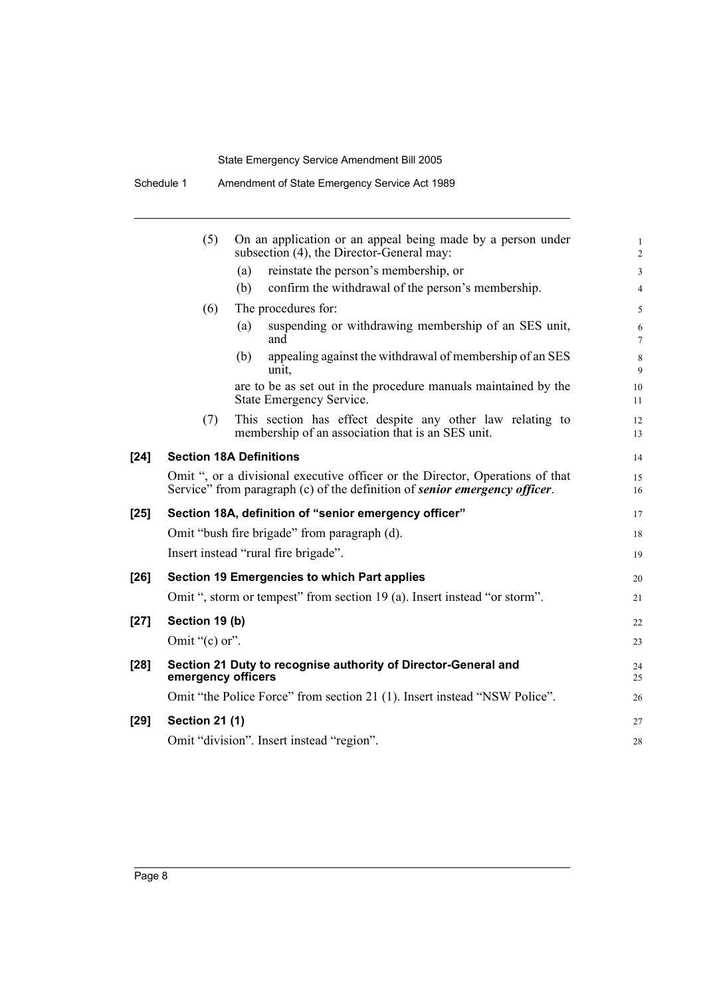|        | (5)                   | On an application or an appeal being made by a person under<br>subsection (4), the Director-General may:                                                    | 1<br>$\overline{2}$ |
|--------|-----------------------|-------------------------------------------------------------------------------------------------------------------------------------------------------------|---------------------|
|        |                       | reinstate the person's membership, or<br>(a)                                                                                                                | $\overline{3}$      |
|        |                       | confirm the withdrawal of the person's membership.<br>(b)                                                                                                   | $\overline{4}$      |
|        | (6)                   | The procedures for:                                                                                                                                         | 5                   |
|        |                       | suspending or withdrawing membership of an SES unit,<br>(a)<br>and                                                                                          | 6<br>$\overline{7}$ |
|        |                       | appealing against the withdrawal of membership of an SES<br>(b)<br>unit,                                                                                    | $\,8\,$<br>9        |
|        |                       | are to be as set out in the procedure manuals maintained by the<br><b>State Emergency Service.</b>                                                          | 10<br>11            |
|        | (7)                   | This section has effect despite any other law relating to<br>membership of an association that is an SES unit.                                              | 12<br>13            |
| $[24]$ |                       | <b>Section 18A Definitions</b>                                                                                                                              | 14                  |
|        |                       | Omit ", or a divisional executive officer or the Director, Operations of that<br>Service" from paragraph (c) of the definition of senior emergency officer. | 15<br>16            |
| $[25]$ |                       | Section 18A, definition of "senior emergency officer"                                                                                                       | 17                  |
|        |                       | Omit "bush fire brigade" from paragraph (d).                                                                                                                | 18                  |
|        |                       | Insert instead "rural fire brigade".                                                                                                                        | 19                  |
| $[26]$ |                       | Section 19 Emergencies to which Part applies                                                                                                                | 20                  |
|        |                       | Omit ", storm or tempest" from section 19 (a). Insert instead "or storm".                                                                                   | 21                  |
| $[27]$ | Section 19 (b)        |                                                                                                                                                             | 22                  |
|        | Omit " $(c)$ or".     |                                                                                                                                                             | 23                  |
| $[28]$ | emergency officers    | Section 21 Duty to recognise authority of Director-General and                                                                                              | 24<br>25            |
|        |                       | Omit "the Police Force" from section 21 (1). Insert instead "NSW Police".                                                                                   | 26                  |
| [29]   | <b>Section 21 (1)</b> |                                                                                                                                                             | 27                  |
|        |                       | Omit "division". Insert instead "region".                                                                                                                   | 28                  |
|        |                       |                                                                                                                                                             |                     |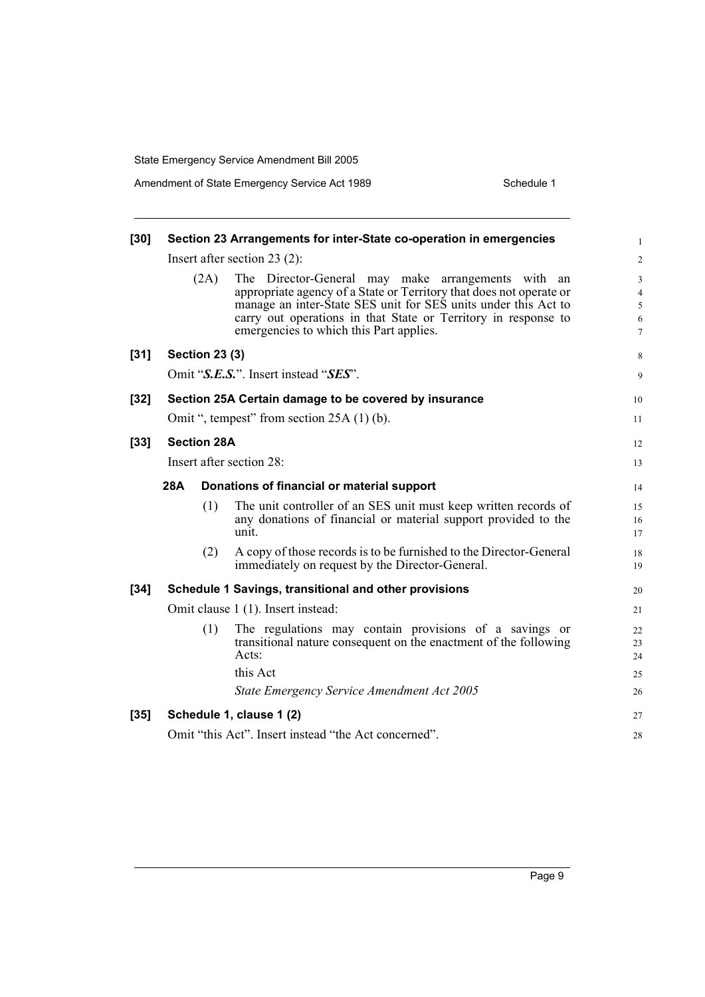| $[30]$ | Section 23 Arrangements for inter-State co-operation in emergencies |                       |                                                                                                                                                                                                                                                                                                          |                                                      |  |
|--------|---------------------------------------------------------------------|-----------------------|----------------------------------------------------------------------------------------------------------------------------------------------------------------------------------------------------------------------------------------------------------------------------------------------------------|------------------------------------------------------|--|
|        |                                                                     |                       | Insert after section $23(2)$ :                                                                                                                                                                                                                                                                           | 2                                                    |  |
|        |                                                                     | (2A)                  | The Director-General may make arrangements with an<br>appropriate agency of a State or Territory that does not operate or<br>manage an inter-State SES unit for SES units under this Act to<br>carry out operations in that State or Territory in response to<br>emergencies to which this Part applies. | $\mathfrak{Z}$<br>$\overline{4}$<br>5<br>6<br>$\tau$ |  |
| $[31]$ |                                                                     | <b>Section 23 (3)</b> |                                                                                                                                                                                                                                                                                                          | 8                                                    |  |
|        |                                                                     |                       | Omit "S.E.S.". Insert instead "SES".                                                                                                                                                                                                                                                                     | 9                                                    |  |
| $[32]$ |                                                                     |                       | Section 25A Certain damage to be covered by insurance                                                                                                                                                                                                                                                    | 10                                                   |  |
|        |                                                                     |                       | Omit ", tempest" from section 25A (1) (b).                                                                                                                                                                                                                                                               | 11                                                   |  |
| $[33]$ |                                                                     | <b>Section 28A</b>    |                                                                                                                                                                                                                                                                                                          | 12                                                   |  |
|        |                                                                     |                       | Insert after section 28:                                                                                                                                                                                                                                                                                 | 13                                                   |  |
|        | 28A                                                                 |                       | Donations of financial or material support                                                                                                                                                                                                                                                               | 14                                                   |  |
|        |                                                                     | (1)                   | The unit controller of an SES unit must keep written records of<br>any donations of financial or material support provided to the<br>unit.                                                                                                                                                               | 15<br>16<br>17                                       |  |
|        |                                                                     | (2)                   | A copy of those records is to be furnished to the Director-General<br>immediately on request by the Director-General.                                                                                                                                                                                    | 18<br>19                                             |  |
| $[34]$ |                                                                     |                       | Schedule 1 Savings, transitional and other provisions                                                                                                                                                                                                                                                    | 20                                                   |  |
|        |                                                                     |                       | Omit clause 1 (1). Insert instead:                                                                                                                                                                                                                                                                       | 21                                                   |  |
|        |                                                                     | (1)                   | The regulations may contain provisions of a savings or<br>transitional nature consequent on the enactment of the following<br>Acts:<br>this Act<br>State Emergency Service Amendment Act 2005                                                                                                            | 22<br>23<br>24<br>25<br>26                           |  |
| $[35]$ |                                                                     |                       | Schedule 1, clause 1 (2)                                                                                                                                                                                                                                                                                 | 27                                                   |  |
|        |                                                                     |                       | Omit "this Act". Insert instead "the Act concerned".                                                                                                                                                                                                                                                     | 28                                                   |  |
|        |                                                                     |                       |                                                                                                                                                                                                                                                                                                          |                                                      |  |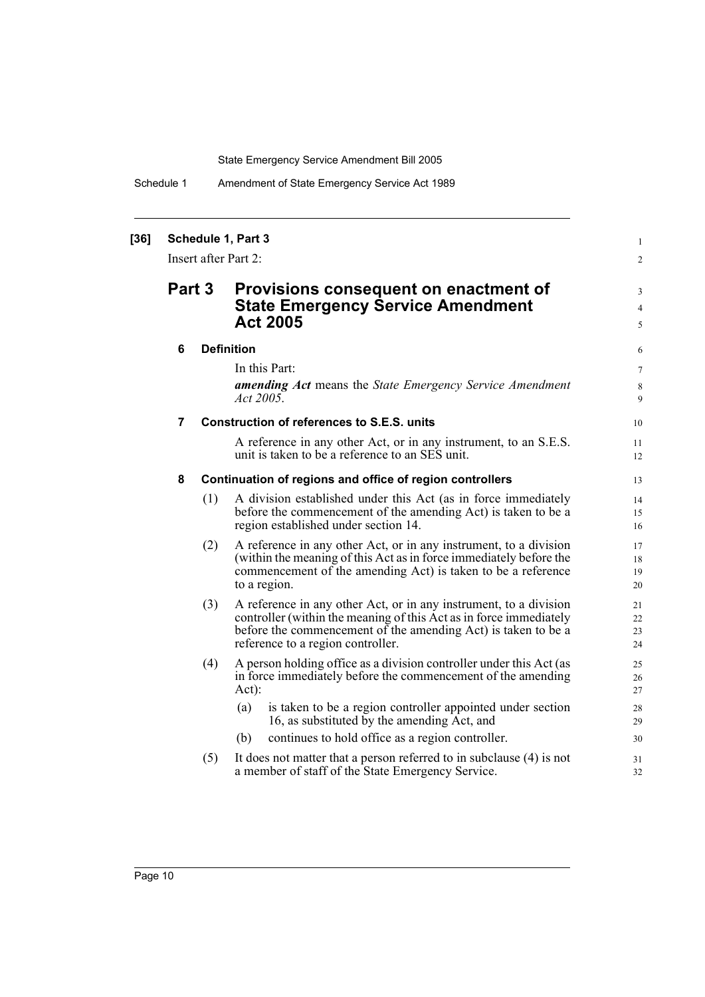Schedule 1 Amendment of State Emergency Service Act 1989

| [36] | Schedule 1, Part 3<br>Insert after Part 2: |                                                                                                                |                                                                                                                                                                                                                                               |                          |
|------|--------------------------------------------|----------------------------------------------------------------------------------------------------------------|-----------------------------------------------------------------------------------------------------------------------------------------------------------------------------------------------------------------------------------------------|--------------------------|
|      |                                            | Part 3<br>Provisions consequent on enactment of<br><b>State Emergency Service Amendment</b><br><b>Act 2005</b> |                                                                                                                                                                                                                                               | 3<br>$\overline{4}$<br>5 |
|      | 6                                          |                                                                                                                | <b>Definition</b>                                                                                                                                                                                                                             | 6                        |
|      |                                            |                                                                                                                | In this Part:                                                                                                                                                                                                                                 | $\tau$                   |
|      |                                            |                                                                                                                | amending Act means the State Emergency Service Amendment<br>Act 2005.                                                                                                                                                                         | 8<br>9                   |
|      | $\overline{7}$                             |                                                                                                                | Construction of references to S.E.S. units                                                                                                                                                                                                    | 10                       |
|      |                                            |                                                                                                                | A reference in any other Act, or in any instrument, to an S.E.S.<br>unit is taken to be a reference to an SES unit.                                                                                                                           | 11<br>12                 |
|      | 8                                          |                                                                                                                | Continuation of regions and office of region controllers                                                                                                                                                                                      | 13                       |
|      |                                            | (1)                                                                                                            | A division established under this Act (as in force immediately<br>before the commencement of the amending Act) is taken to be a<br>region established under section 14.                                                                       | 14<br>15<br>16           |
|      |                                            | (2)                                                                                                            | A reference in any other Act, or in any instrument, to a division<br>(within the meaning of this Act as in force immediately before the<br>commencement of the amending Act) is taken to be a reference<br>to a region.                       | 17<br>18<br>19<br>20     |
|      |                                            | (3)                                                                                                            | A reference in any other Act, or in any instrument, to a division<br>controller (within the meaning of this Act as in force immediately<br>before the commencement of the amending Act) is taken to be a<br>reference to a region controller. | 21<br>22<br>23<br>24     |
|      |                                            | (4)                                                                                                            | A person holding office as a division controller under this Act (as<br>in force immediately before the commencement of the amending<br>Act):                                                                                                  | 25<br>26<br>27           |
|      |                                            |                                                                                                                | is taken to be a region controller appointed under section<br>(a)<br>16, as substituted by the amending Act, and                                                                                                                              | 28<br>29                 |
|      |                                            |                                                                                                                | continues to hold office as a region controller.<br>(b)                                                                                                                                                                                       | 30                       |
|      |                                            | (5)                                                                                                            | It does not matter that a person referred to in subclause (4) is not<br>a member of staff of the State Emergency Service.                                                                                                                     | 31<br>32                 |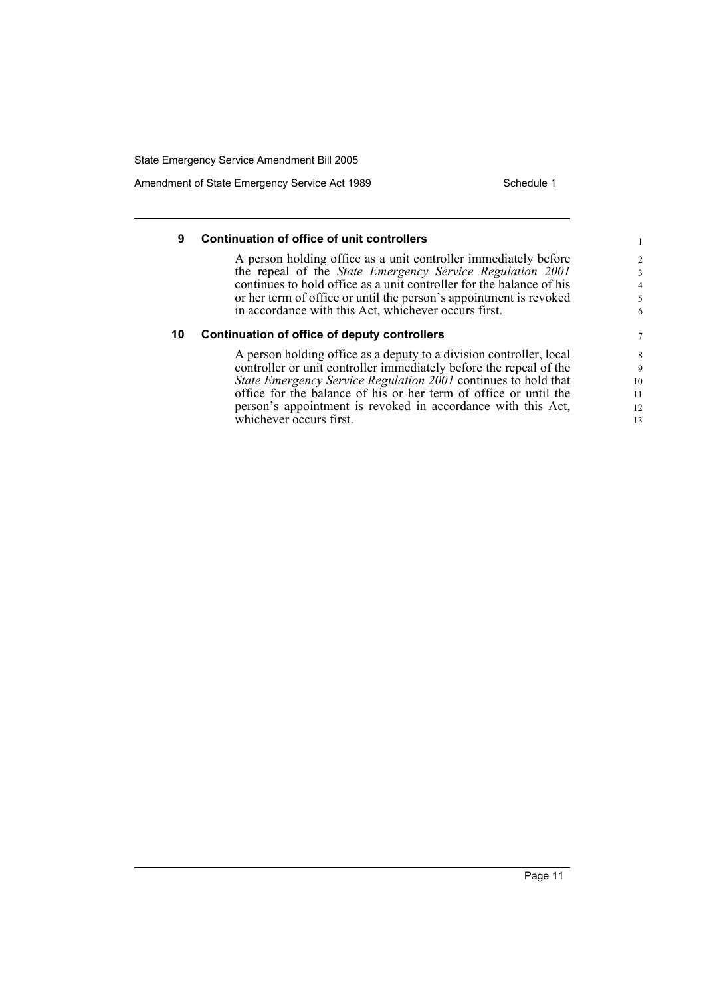Amendment of State Emergency Service Act 1989 Schedule 1

### **9 Continuation of office of unit controllers**

A person holding office as a unit controller immediately before the repeal of the *State Emergency Service Regulation 2001* continues to hold office as a unit controller for the balance of his or her term of office or until the person's appointment is revoked in accordance with this Act, whichever occurs first.

#### **10 Continuation of office of deputy controllers**

A person holding office as a deputy to a division controller, local controller or unit controller immediately before the repeal of the *State Emergency Service Regulation 2001* continues to hold that office for the balance of his or her term of office or until the person's appointment is revoked in accordance with this Act, whichever occurs first.